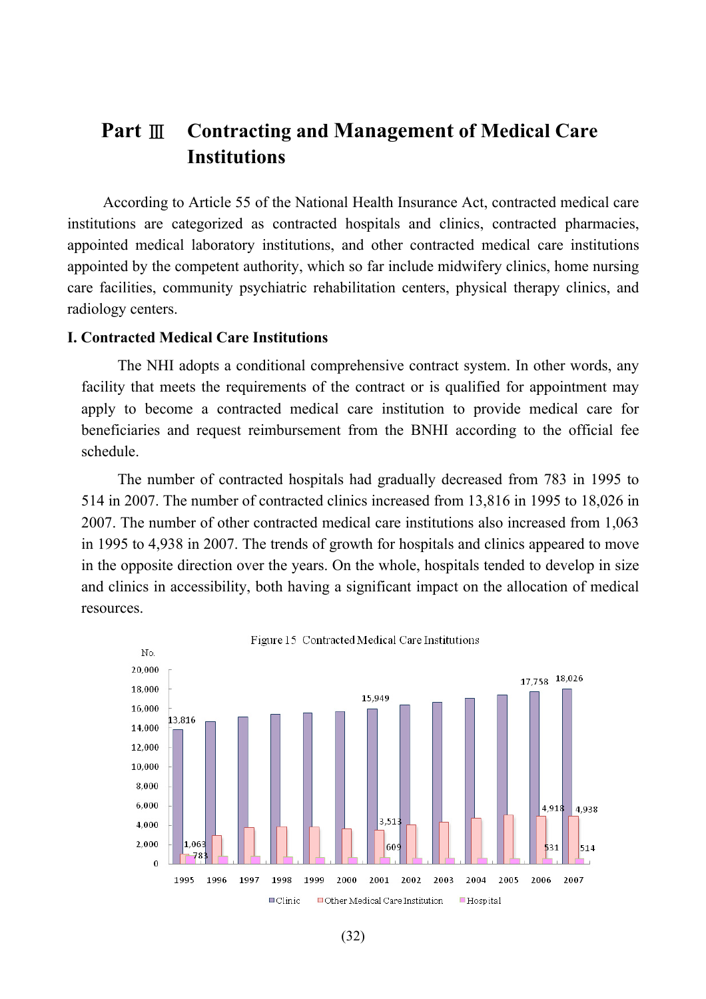# **Part** Ⅲ **Contracting and Management of Medical Care Institutions**

According to Article 55 of the National Health Insurance Act, contracted medical care institutions are categorized as contracted hospitals and clinics, contracted pharmacies, appointed medical laboratory institutions, and other contracted medical care institutions appointed by the competent authority, which so far include midwifery clinics, home nursing care facilities, community psychiatric rehabilitation centers, physical therapy clinics, and radiology centers.

## **I. Contracted Medical Care Institutions**

The NHI adopts a conditional comprehensive contract system. In other words, any facility that meets the requirements of the contract or is qualified for appointment may apply to become a contracted medical care institution to provide medical care for beneficiaries and request reimbursement from the BNHI according to the official fee schedule.

The number of contracted hospitals had gradually decreased from 783 in 1995 to 514 in 2007. The number of contracted clinics increased from 13,816 in 1995 to 18,026 in 2007. The number of other contracted medical care institutions also increased from 1,063 in 1995 to 4,938 in 2007. The trends of growth for hospitals and clinics appeared to move in the opposite direction over the years. On the whole, hospitals tended to develop in size and clinics in accessibility, both having a significant impact on the allocation of medical resources.

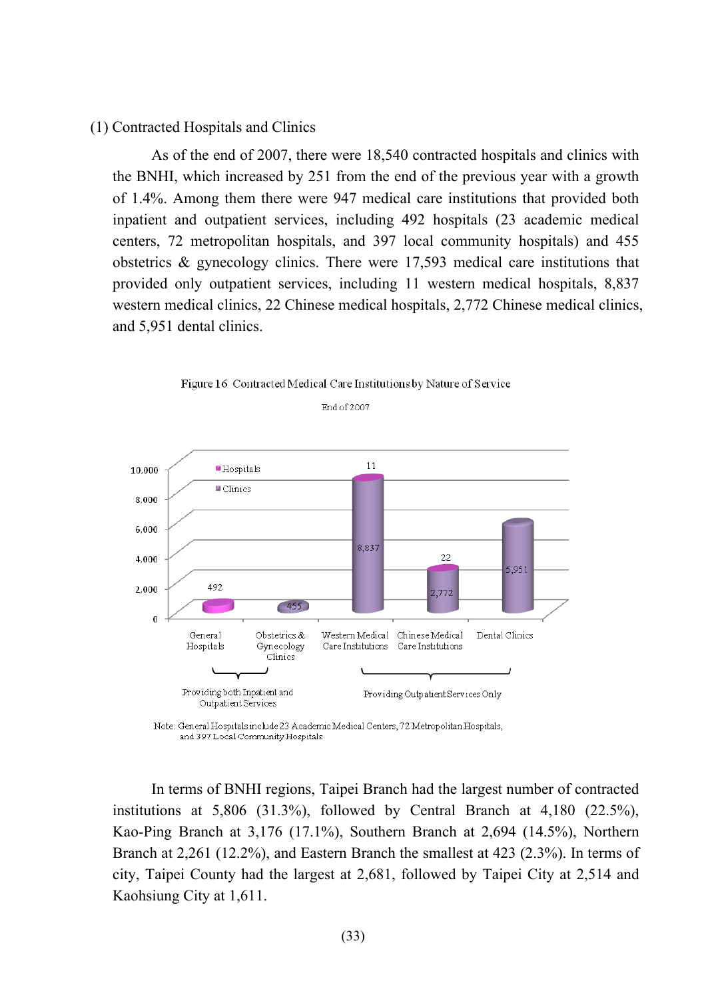## (1) Contracted Hospitals and Clinics

As of the end of 2007, there were 18,540 contracted hospitals and clinics with the BNHI, which increased by 251 from the end of the previous year with a growth of 1.4%. Among them there were 947 medical care institutions that provided both inpatient and outpatient services, including 492 hospitals (23 academic medical centers, 72 metropolitan hospitals, and 397 local community hospitals) and 455 obstetrics & gynecology clinics. There were 17,593 medical care institutions that provided only outpatient services, including 11 western medical hospitals, 8,837 western medical clinics, 22 Chinese medical hospitals, 2,772 Chinese medical clinics, and 5,951 dental clinics.





End of 2007

Note: General Hospitals include 23 Academic Medical Centers, 72 Metropolitan Hospitals, and 397 Local Community Hospitals

In terms of BNHI regions, Taipei Branch had the largest number of contracted institutions at  $5,806$  (31.3%), followed by Central Branch at  $4,180$  (22.5%), Kao-Ping Branch at 3,176 (17.1%), Southern Branch at 2,694 (14.5%), Northern Branch at 2,261 (12.2%), and Eastern Branch the smallest at 423 (2.3%). In terms of city, Taipei County had the largest at 2,681, followed by Taipei City at 2,514 and Kaohsiung City at 1,611.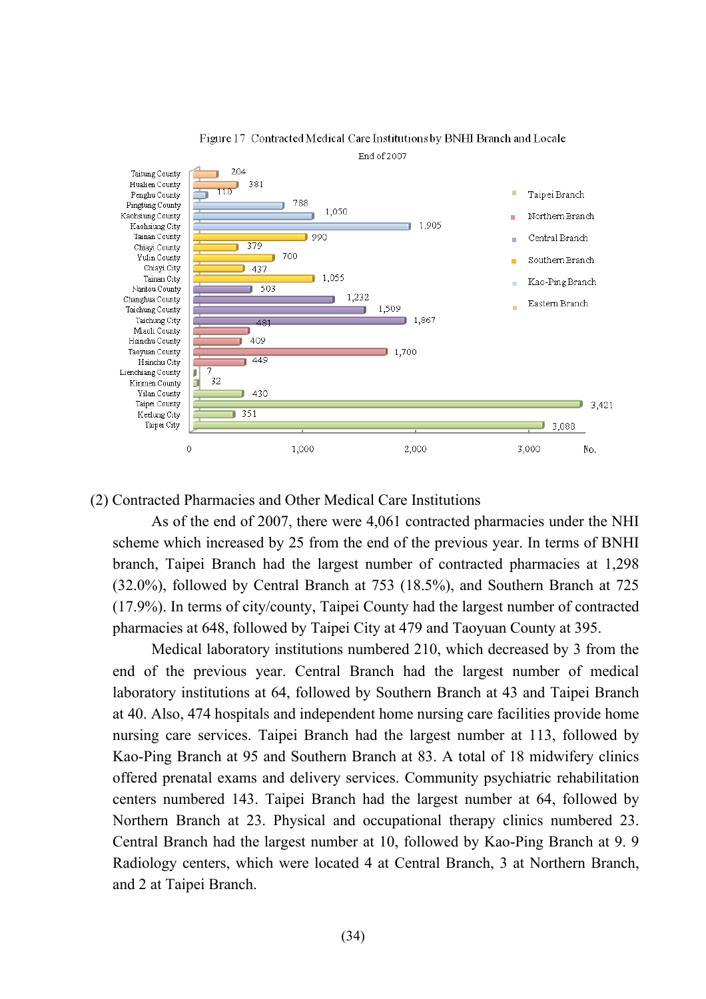

Figure 17 Contracted Medical Care Institutions by BNHI Branch and Locale

(2) Contracted Pharmacies and Other Medical Care Institutions

As of the end of 2007, there were 4,061 contracted pharmacies under the NHI scheme which increased by 25 from the end of the previous year. In terms of BNHI branch, Taipei Branch had the largest number of contracted pharmacies at 1,298 (32.0%), followed by Central Branch at 753 (18.5%), and Southern Branch at 725 (17.9%). In terms of city/county, Taipei County had the largest number of contracted pharmacies at 648, followed by Taipei City at 479 and Taoyuan County at 395.

Medical laboratory institutions numbered 210, which decreased by 3 from the end of the previous year. Central Branch had the largest number of medical laboratory institutions at 64, followed by Southern Branch at 43 and Taipei Branch at 40. Also, 474 hospitals and independent home nursing care facilities provide home nursing care services. Taipei Branch had the largest number at 113, followed by Kao-Ping Branch at 95 and Southern Branch at 83. A total of 18 midwifery clinics offered prenatal exams and delivery services. Community psychiatric rehabilitation centers numbered 143. Taipei Branch had the largest number at 64, followed by Northern Branch at 23. Physical and occupational therapy clinics numbered 23. Central Branch had the largest number at 10, followed by Kao-Ping Branch at 9. 9 Radiology centers, which were located 4 at Central Branch, 3 at Northern Branch, and 2 at Taipei Branch.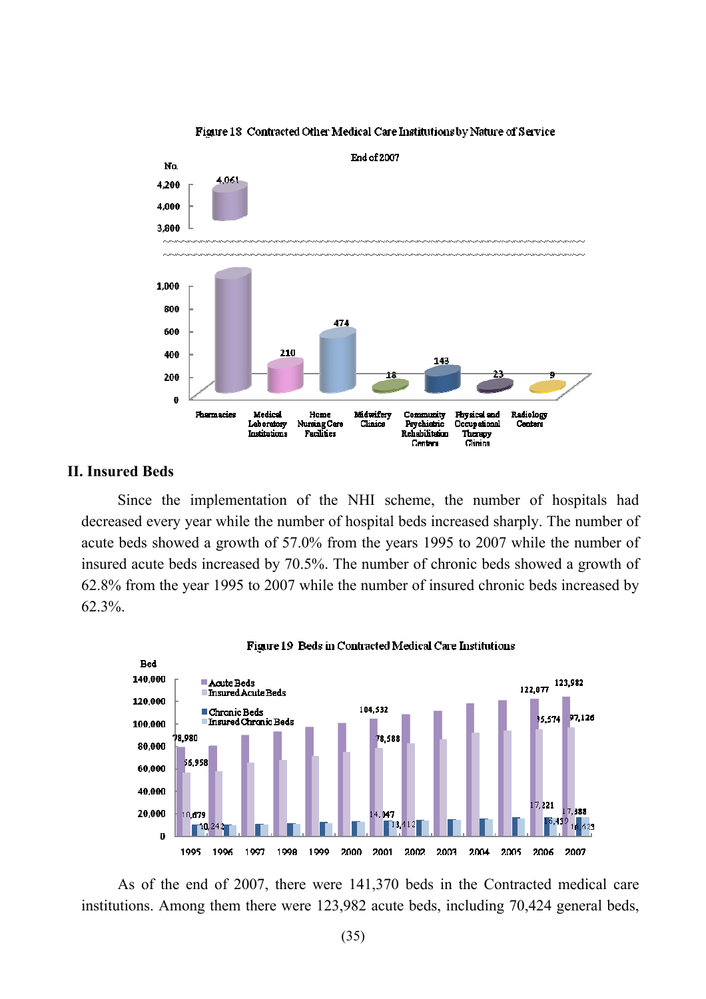

#### Figure 18 Contracted Other Medical Care Institutions by Nature of Service

## **II. Insured Beds**

Since the implementation of the NHI scheme, the number of hospitals had decreased every year while the number of hospital beds increased sharply. The number of acute beds showed a growth of 57.0% from the years 1995 to 2007 while the number of insured acute beds increased by 70.5%. The number of chronic beds showed a growth of 62.8% from the year 1995 to 2007 while the number of insured chronic beds increased by 62.3%.



As of the end of 2007, there were 141,370 beds in the Contracted medical care institutions. Among them there were 123,982 acute beds, including 70,424 general beds,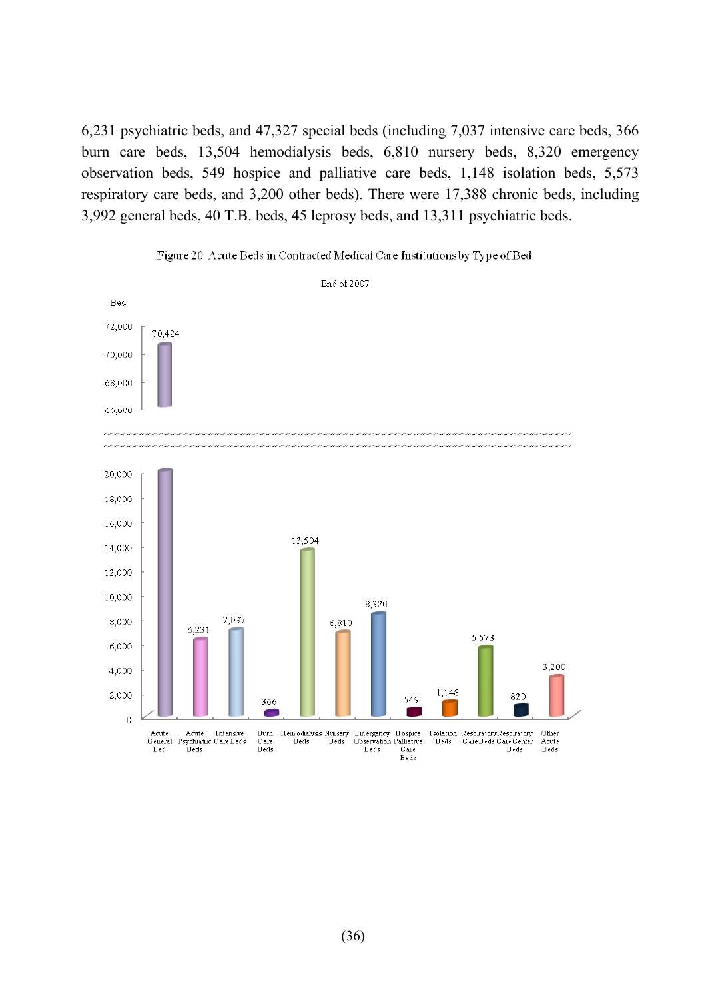6,231 psychiatric beds, and 47,327 special beds (including 7,037 intensive care beds, 366 burn care beds, 13,504 hemodialysis beds, 6,810 nursery beds, 8,320 emergency observation beds, 549 hospice and palliative care beds, 1,148 isolation beds, 5,573 respiratory care beds, and 3,200 other beds). There were 17,388 chronic beds, including 3,992 general beds, 40 T.B. beds, 45 leprosy beds, and 13,311 psychiatric beds.



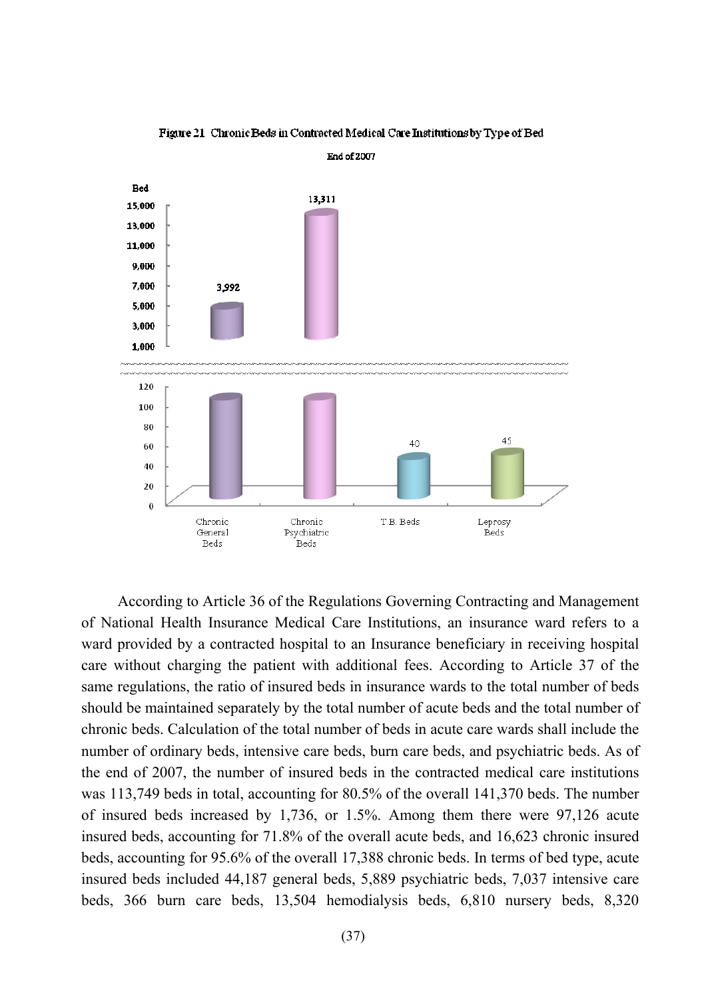

Figure 21 Chronic Beds in Contracted Medical Care Institutions by Type of Bed

According to Article 36 of the Regulations Governing Contracting and Management of National Health Insurance Medical Care Institutions, an insurance ward refers to a ward provided by a contracted hospital to an Insurance beneficiary in receiving hospital care without charging the patient with additional fees. According to Article 37 of the same regulations, the ratio of insured beds in insurance wards to the total number of beds should be maintained separately by the total number of acute beds and the total number of chronic beds. Calculation of the total number of beds in acute care wards shall include the number of ordinary beds, intensive care beds, burn care beds, and psychiatric beds. As of the end of 2007, the number of insured beds in the contracted medical care institutions was 113,749 beds in total, accounting for 80.5% of the overall 141,370 beds. The number of insured beds increased by 1,736, or 1.5%. Among them there were 97,126 acute insured beds, accounting for 71.8% of the overall acute beds, and 16,623 chronic insured beds, accounting for 95.6% of the overall 17,388 chronic beds. In terms of bed type, acute insured beds included 44,187 general beds, 5,889 psychiatric beds, 7,037 intensive care beds, 366 burn care beds, 13,504 hemodialysis beds, 6,810 nursery beds, 8,320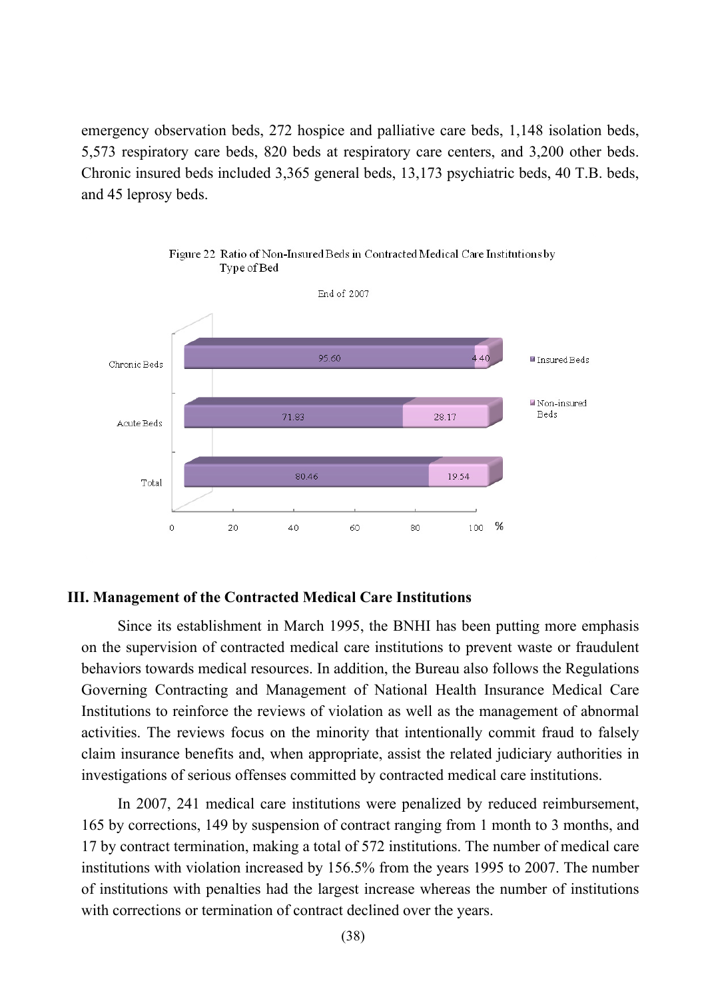emergency observation beds, 272 hospice and palliative care beds, 1,148 isolation beds, 5,573 respiratory care beds, 820 beds at respiratory care centers, and 3,200 other beds. Chronic insured beds included 3,365 general beds, 13,173 psychiatric beds, 40 T.B. beds, and 45 leprosy beds.



Figure 22 Ratio of Non-Insured Beds in Contracted Medical Care Institutions by Type of Bed

## **III. Management of the Contracted Medical Care Institutions**

Since its establishment in March 1995, the BNHI has been putting more emphasis on the supervision of contracted medical care institutions to prevent waste or fraudulent behaviors towards medical resources. In addition, the Bureau also follows the Regulations Governing Contracting and Management of National Health Insurance Medical Care Institutions to reinforce the reviews of violation as well as the management of abnormal activities. The reviews focus on the minority that intentionally commit fraud to falsely claim insurance benefits and, when appropriate, assist the related judiciary authorities in investigations of serious offenses committed by contracted medical care institutions.

In 2007, 241 medical care institutions were penalized by reduced reimbursement, 165 by corrections, 149 by suspension of contract ranging from 1 month to 3 months, and 17 by contract termination, making a total of 572 institutions. The number of medical care institutions with violation increased by 156.5% from the years 1995 to 2007. The number of institutions with penalties had the largest increase whereas the number of institutions with corrections or termination of contract declined over the years.